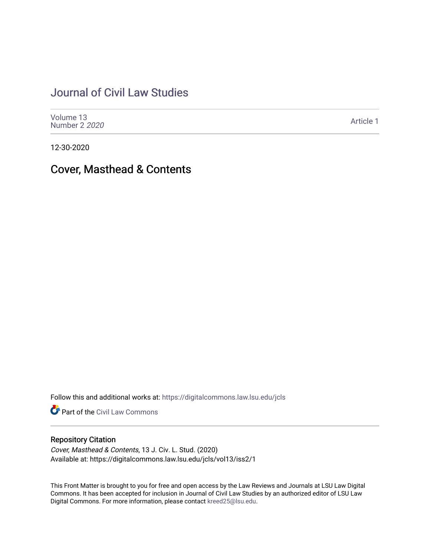## [Journal of Civil Law Studies](https://digitalcommons.law.lsu.edu/jcls)

| Volume 13<br>Number 2 2020 | Article 1 |
|----------------------------|-----------|
|----------------------------|-----------|

12-30-2020

## Cover, Masthead & Contents

Follow this and additional works at: [https://digitalcommons.law.lsu.edu/jcls](https://digitalcommons.law.lsu.edu/jcls?utm_source=digitalcommons.law.lsu.edu%2Fjcls%2Fvol13%2Fiss2%2F1&utm_medium=PDF&utm_campaign=PDFCoverPages) 

Part of the [Civil Law Commons](http://network.bepress.com/hgg/discipline/835?utm_source=digitalcommons.law.lsu.edu%2Fjcls%2Fvol13%2Fiss2%2F1&utm_medium=PDF&utm_campaign=PDFCoverPages)

## Repository Citation

Cover, Masthead & Contents, 13 J. Civ. L. Stud. (2020) Available at: https://digitalcommons.law.lsu.edu/jcls/vol13/iss2/1

This Front Matter is brought to you for free and open access by the Law Reviews and Journals at LSU Law Digital Commons. It has been accepted for inclusion in Journal of Civil Law Studies by an authorized editor of LSU Law Digital Commons. For more information, please contact [kreed25@lsu.edu.](mailto:kreed25@lsu.edu)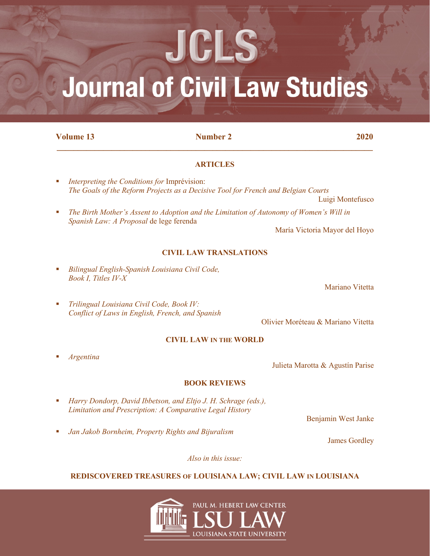# **Journal of Civil Law Studies**

JCLS

**Volume 13 12020 12020 12020** 

## **\_\_\_\_\_\_\_\_\_\_\_\_\_\_\_\_\_\_\_\_\_\_\_\_\_\_\_\_\_\_\_\_\_\_\_\_\_\_\_\_\_\_\_\_\_\_\_\_\_\_\_\_\_\_\_\_\_\_\_\_\_\_\_\_\_\_\_\_\_\_\_\_\_\_\_**

## **ARTICLES**

- *Interpreting the Conditions for* Imprévision: *The Goals of the Reform Projects as a Decisive Tool for French and Belgian Courts*
- *The Birth Mother's Assent to Adoption and the Limitation of Autonomy of Women's Will in Spanish Law: A Proposal* de lege ferenda

María Victoria Mayor del Hoyo

## **CIVIL LAW TRANSLATIONS**

 *Bilingual English-Spanish Louisiana Civil Code, Book I, Titles IV-X*

Mariano Vitetta

Luigi Montefusco

 *Trilingual Louisiana Civil Code, Book IV: Conflict of Laws in English, French, and Spanish*

Olivier Moréteau & Mariano Vitetta

## **CIVIL LAW IN THE WORLD**

*Argentina*

Julieta Marotta & Agustín Parise

## **BOOK REVIEWS**

- *Harry Dondorp, David Ibbetson, and Eltjo J. H. Schrage (eds.), Limitation and Prescription: A Comparative Legal History*
- *Jan Jakob Bornheim, Property Rights and Bijuralism*

Benjamin West Janke

James Gordley

*Also in this issue:*

## **REDISCOVERED TREASURES OF LOUISIANA LAW; CIVIL LAW IN LOUISIANA**

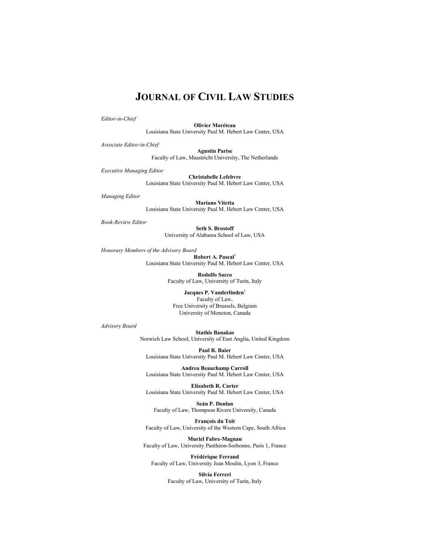## **JOURNAL OF CIVIL LAW STUDIES**

*Editor-in-Chief*

**Olivier Moréteau** Louisiana State University Paul M. Hebert Law Center, USA

*Associate Editor-in-Chief*

**Agustín Parise** Faculty of Law, Maastricht University, The Netherlands

*Executive Managing Editor*

**Christabelle Lefebvre** Louisiana State University Paul M. Hebert Law Center, USA

*Managing Editor*

**Mariano Vitetta**  Louisiana State University Paul M. Hebert Law Center, USA

*Book-Review Editor*

**Seth S. Brostoff** University of Alabama School of Law, USA

*Honorary Members of the Advisory Board*

**Robert A. Pascal**† Louisiana State University Paul M. Hebert Law Center, USA

> **Rodolfo Sacco** Faculty of Law, University of Turin, Italy

**Jacques P. Vanderlinden**† Faculty of Law, Free University of Brussels, Belgium University of Moncton, Canada

*Advisory Board*

**Stathis Banakas** Norwich Law School, University of East Anglia, United Kingdom

**Paul R. Baier** Louisiana State University Paul M. Hebert Law Center, USA

**Andrea Beauchamp Carroll** Louisiana State University Paul M. Hebert Law Center, USA

**Elizabeth R. Carter** Louisiana State University Paul M. Hebert Law Center, USA

**Seán P. Donlan** Faculty of Law, Thompson Rivers University, Canada

**François du Toit** Faculty of Law, University of the Western Cape, South Africa

**Muriel Fabre-Magnan** Faculty of Law, University Panthéon-Sorbonne, Paris 1, France

**Frédérique Ferrand** Faculty of Law, University Jean Moulin, Lyon 3, France

> **Silvia Ferreri** Faculty of Law, University of Turin, Italy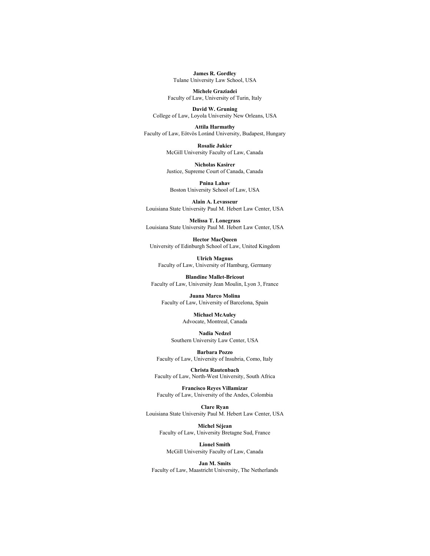**James R. Gordley** Tulane University Law School, USA

**Michele Graziadei** Faculty of Law, University of Turin, Italy

**David W. Gruning** College of Law, Loyola University New Orleans, USA

**Attila Harmathy** Faculty of Law, Eötvös Loránd University, Budapest, Hungary

> **Rosalie Jukier** McGill University Faculty of Law, Canada

**Nicholas Kasirer** Justice, Supreme Court of Canada, Canada

**Pnina Lahav** Boston University School of Law, USA

**Alain A. Levasseur** Louisiana State University Paul M. Hebert Law Center, USA

**Melissa T. Lonegrass** Louisiana State University Paul M. Hebert Law Center, USA

**Hector MacQueen** University of Edinburgh School of Law, United Kingdom

**Ulrich Magnus** Faculty of Law, University of Hamburg, Germany

**Blandine Mallet-Bricout** Faculty of Law, University Jean Moulin, Lyon 3, France

**Juana Marco Molina** Faculty of Law, University of Barcelona, Spain

> **Michael McAuley** Advocate, Montreal, Canada

**Nadia Nedzel** Southern University Law Center, USA

**Barbara Pozzo** Faculty of Law, University of Insubria, Como, Italy

**Christa Rautenbach** Faculty of Law, North-West University, South Africa

**Francisco Reyes Villamizar** Faculty of Law, University of the Andes, Colombia

**Clare Ryan** Louisiana State University Paul M. Hebert Law Center, USA

> **Michel Séjean**  Faculty of Law, University Bretagne Sud, France

**Lionel Smith** McGill University Faculty of Law, Canada

**Jan M. Smits** Faculty of Law, Maastricht University, The Netherlands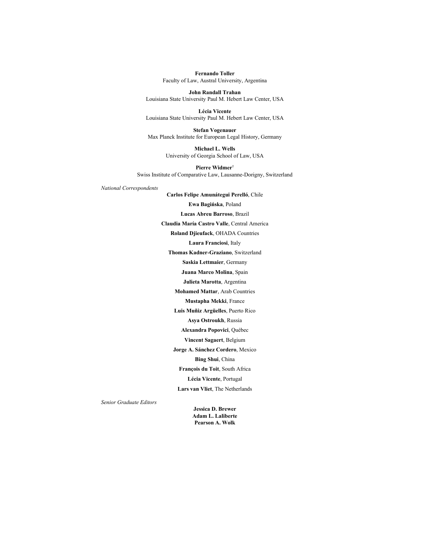**Fernando Toller** Faculty of Law, Austral University, Argentina

**John Randall Trahan** Louisiana State University Paul M. Hebert Law Center, USA

**Lécia Vicente** Louisiana State University Paul M. Hebert Law Center, USA

**Stefan Vogenauer** Max Planck Institute for European Legal History, Germany

> **Michael L. Wells** University of Georgia School of Law, USA

**Pierre Widmer**† Swiss Institute of Comparative Law, Lausanne-Dorigny, Switzerland

*National Correspondents* 

**Carlos Felipe Amunátegui Perelló**, Chile **Ewa Bagińska**, Poland **Lucas Abreu Barroso**, Brazil **Claudia María Castro Valle**, Central America **Roland Djieufack**, OHADA Countries **Laura Franciosi**, Italy **Thomas Kadner-Graziano**, Switzerland **Saskia Lettmaier**, Germany **Juana Marco Molina**, Spain **Julieta Marotta**, Argentina **Mohamed Mattar**, Arab Countries **Mustapha Mekki**, France **Luis Muñiz Argüelles**, Puerto Rico **Asya Ostroukh**, Russia **Alexandra Popovici**, Québec **Vincent Sagaert**, Belgium **Jorge A. Sánchez Cordero**, Mexico **Bing Shui**, China **François du Toit**, South Africa **Lécia Vicente**, Portugal **Lars van Vliet**, The Netherlands

*Senior Graduate Editors*

**Jessica D. Brewer Adam L. Laliberte Pearson A. Wolk**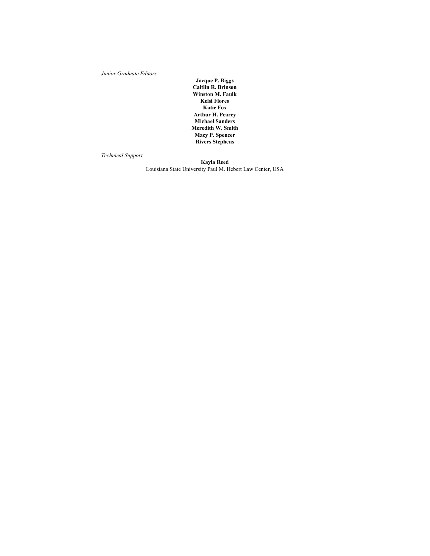*Junior Graduate Editors*

**Jacque P. Biggs Caitlin R. Brinson Winston M. Faulk Kelsi Flores Katie Fox Arthur H. Pearcy Michael Sanders Meredith W. Smith Macy P. Spencer Rivers Stephens**

*Technical Support*

**Kayla Reed** Louisiana State University Paul M. Hebert Law Center, USA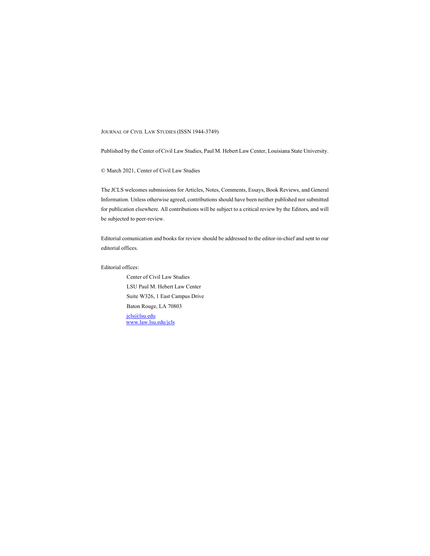#### JOURNAL OF CIVIL LAW STUDIES (ISSN 1944-3749)

Published by the Center of Civil Law Studies, Paul M. Hebert Law Center, Louisiana State University.

© March 2021, Center of Civil Law Studies

The JCLS welcomes submissions for Articles, Notes, Comments, Essays, Book Reviews, and General Information. Unless otherwise agreed, contributions should have been neither published nor submitted for publication elsewhere. All contributions will be subject to a critical review by the Editors, and will be subjected to peer-review.

Editorial comunication and books for review should be addressed to the editor-in-chief and sent to our editorial offices.

#### Editorial offices:

Center of Civil Law Studies LSU Paul M. Hebert Law Center Suite W326, 1 East Campus Drive Baton Rouge, LA 70803 [jcls@lsu.edu](mailto:jcls@lsu.edu) [www.law.lsu.edu/jcls](http://www.law.lsu.edu/jcls)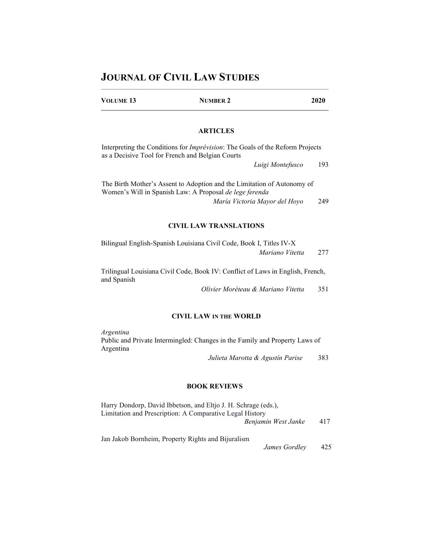## **JOURNAL OF CIVIL LAW STUDIES**

| <b>VOLUME 13</b> | <b>NUMBER 2</b>                                                                                                                           | 2020 |
|------------------|-------------------------------------------------------------------------------------------------------------------------------------------|------|
|                  |                                                                                                                                           |      |
|                  | <b>ARTICLES</b>                                                                                                                           |      |
|                  | Interpreting the Conditions for <i>Imprévision</i> : The Goals of the Reform Projects<br>as a Decisive Tool for French and Belgian Courts |      |
|                  | Luigi Montefusco                                                                                                                          | 193  |
|                  | The Birth Mother's Assent to Adoption and the Limitation of Autonomy of<br>Women's Will in Spanish Law: A Proposal de lege ferenda        |      |
|                  | María Victoria Mavor del Hovo                                                                                                             | 249  |

## **CIVIL LAW TRANSLATIONS**

| Bilingual English-Spanish Louisiana Civil Code, Book I, Titles IV-X |     |
|---------------------------------------------------------------------|-----|
| Mariano Vitetta                                                     | 277 |

Trilingual Louisiana Civil Code, Book IV: Conflict of Laws in English, French, and Spanish

*Olivier Moréteau & Mariano Vitetta* 351

### **CIVIL LAW IN THE WORLD**

*Argentina* Public and Private Intermingled: Changes in the Family and Property Laws of Argentina

*Julieta Marotta & Agustín Parise* 383

### **BOOK REVIEWS**

| Harry Dondorp, David Ibbetson, and Eltio J. H. Schrage (eds.), |     |
|----------------------------------------------------------------|-----|
| Limitation and Prescription: A Comparative Legal History       |     |
| Benjamin West Janke                                            | 417 |
|                                                                |     |

Jan Jakob Bornheim, Property Rights and Bijuralism James Gordley 425